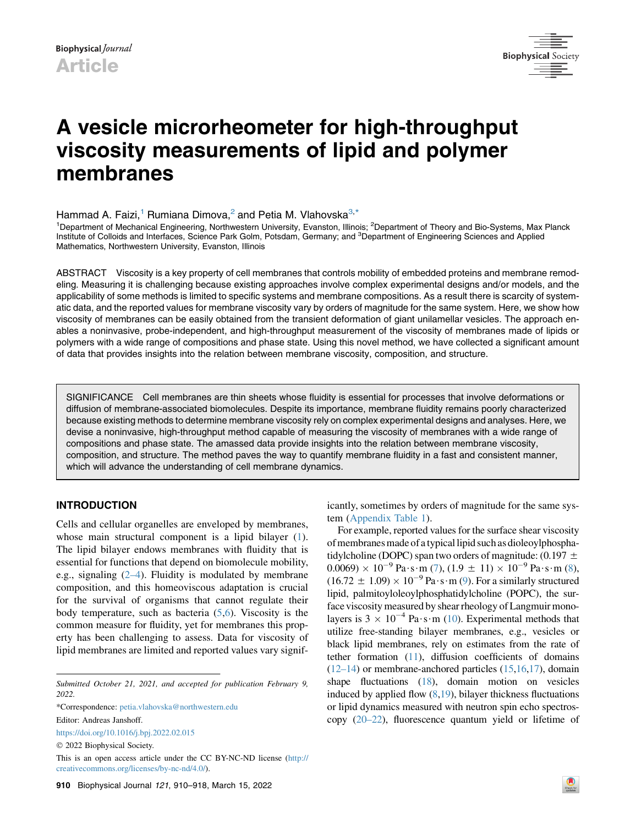

# A vesicle microrheometer for high-throughput viscosity measurements of lipid and polymer membranes

# Hammad A. Faizi,<sup>1</sup> Rumiana Dimova,<sup>2</sup> and Petia M. Vlahovska<sup>3,[\\*](#page-0-0)</sup>

<sup>1</sup>Department of Mechanical Engineering, Northwestern University, Evanston, Illinois; <sup>2</sup>Department of Theory and Bio-Systems, Max Planck Institute of Colloids and Interfaces, Science Park Golm, Potsdam, Germany; and <sup>3</sup>Department of Engineering Sciences and Applied Mathematics, Northwestern University, Evanston, Illinois

ABSTRACT Viscosity is a key property of cell membranes that controls mobility of embedded proteins and membrane remodeling. Measuring it is challenging because existing approaches involve complex experimental designs and/or models, and the applicability of some methods is limited to specific systems and membrane compositions. As a result there is scarcity of systematic data, and the reported values for membrane viscosity vary by orders of magnitude for the same system. Here, we show how viscosity of membranes can be easily obtained from the transient deformation of giant unilamellar vesicles. The approach enables a noninvasive, probe-independent, and high-throughput measurement of the viscosity of membranes made of lipids or polymers with a wide range of compositions and phase state. Using this novel method, we have collected a significant amount of data that provides insights into the relation between membrane viscosity, composition, and structure.

SIGNIFICANCE Cell membranes are thin sheets whose fluidity is essential for processes that involve deformations or diffusion of membrane-associated biomolecules. Despite its importance, membrane fluidity remains poorly characterized because existing methods to determine membrane viscosity rely on complex experimental designs and analyses. Here, we devise a noninvasive, high-throughput method capable of measuring the viscosity of membranes with a wide range of compositions and phase state. The amassed data provide insights into the relation between membrane viscosity, composition, and structure. The method paves the way to quantify membrane fluidity in a fast and consistent manner, which will advance the understanding of cell membrane dynamics.

## INTRODUCTION

Cells and cellular organelles are enveloped by membranes, whose main structural component is a lipid bilayer ([1\)](#page-6-0). The lipid bilayer endows membranes with fluidity that is essential for functions that depend on biomolecule mobility, e.g., signaling  $(2-4)$ . Fluidity is modulated by membrane composition, and this homeoviscous adaptation is crucial for the survival of organisms that cannot regulate their body temperature, such as bacteria  $(5,6)$  $(5,6)$  $(5,6)$  $(5,6)$ . Viscosity is the common measure for fluidity, yet for membranes this property has been challenging to assess. Data for viscosity of lipid membranes are limited and reported values vary signif-

<span id="page-0-0"></span>\*Correspondence: [petia.vlahovska@northwestern.edu](mailto:petia.vlahovska@northwestern.edu)

Editor: Andreas Janshoff.

<https://doi.org/10.1016/j.bpj.2022.02.015>

2022 Biophysical Society.

This is an open access article under the CC BY-NC-ND license [\(http://](http://creativecommons.org/licenses/by-nc-nd/4.0/) [creativecommons.org/licenses/by-nc-nd/4.0/\)](http://creativecommons.org/licenses/by-nc-nd/4.0/).

icantly, sometimes by orders of magnitude for the same system ([Appendix Table 1](#page-5-0)).

For example, reported values for the surface shear viscosity of membranes made of a typicallipid such as dioleoylphosphatidylcholine (DOPC) span two orders of magnitude: (0.197  $\pm$  $0.0069 \times 10^{-9}$  Pa $\cdot$ s $\cdot$ m [\(7](#page-7-2)), (1.9  $\pm$  11)  $\times$  10<sup>-9</sup> Pa $\cdot$ s $\cdot$ m [\(8\)](#page-7-3),  $(16.72 \pm 1.09) \times 10^{-9}$  Pa $\cdot$ s $\cdot$ m [\(9\)](#page-7-4). For a similarly structured lipid, palmitoyloleoylphosphatidylcholine (POPC), the surface viscosity measured by shear rheology of Langmuir monolayers is  $3 \times 10^{-4}$  Pa $\cdot$ s $\cdot$ m [\(10\)](#page-7-5). Experimental methods that utilize free-standing bilayer membranes, e.g., vesicles or black lipid membranes, rely on estimates from the rate of tether formation [\(11](#page-7-6)), diffusion coefficients of domains  $(12-14)$  or membrane-anchored particles  $(15,16,17)$  $(15,16,17)$  $(15,16,17)$  $(15,16,17)$  $(15,16,17)$  $(15,16,17)$ , domain shape fluctuations ([18\)](#page-7-11), domain motion on vesicles induced by applied flow  $(8,19)$  $(8,19)$  $(8,19)$  $(8,19)$ , bilayer thickness fluctuations or lipid dynamics measured with neutron spin echo spectroscopy [\(20–22](#page-7-13)), fluorescence quantum yield or lifetime of

Submitted October 21, 2021, and accepted for publication February 9, 2022.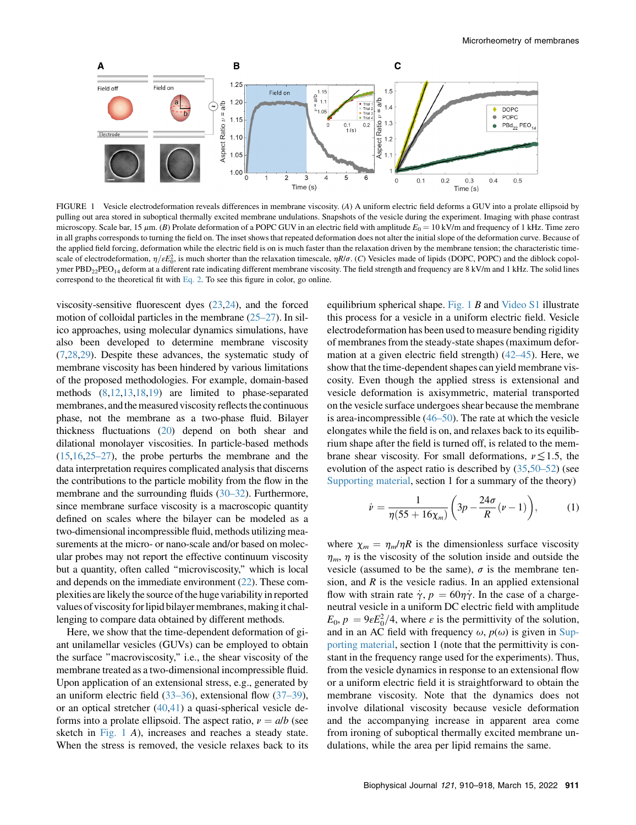<span id="page-1-0"></span>

FIGURE 1 Vesicle electrodeformation reveals differences in membrane viscosity. (A) A uniform electric field deforms a GUV into a prolate ellipsoid by pulling out area stored in suboptical thermally excited membrane undulations. Snapshots of the vesicle during the experiment. Imaging with phase contrast microscopy. Scale bar, 15  $\mu$ m. (B) Prolate deformation of a POPC GUV in an electric field with amplitude  $E_0 = 10 \text{ kV/m}$  and frequency of 1 kHz. Time zero in all graphs corresponds to turning the field on. The inset shows that repeated deformation does not alter the initial slope of the deformation curve. Because of the applied field forcing, deformation while the electric field is on is much faster than the relaxation driven by the membrane tension; the characteristic timescale of electrodeformation,  $\eta/\epsilon E_0^2$ , is much shorter than the relaxation timescale,  $\eta R/\sigma$ . (C) Vesicles made of lipids (DOPC, POPC) and the diblock copol-<br>wmer PBD. PEO, deform at a different rate indicating differ ymer PBD<sub>22</sub>PEO<sub>14</sub> deform at a different rate indicating different membrane viscosity. The field strength and frequency are 8 kV/m and 1 kHz. The solid lines correspond to the theoretical fit with [Eq. 2.](#page-2-0) To see this figure in color, go online.

viscosity-sensitive fluorescent dyes [\(23](#page-7-14),[24](#page-7-15)), and the forced motion of colloidal particles in the membrane [\(25–27\)](#page-7-16). In silico approaches, using molecular dynamics simulations, have also been developed to determine membrane viscosity ([7,](#page-7-2)[28,](#page-7-17)[29\)](#page-7-18). Despite these advances, the systematic study of membrane viscosity has been hindered by various limitations of the proposed methodologies. For example, domain-based methods [\(8](#page-7-3)[,12](#page-7-7)[,13](#page-7-19),[18](#page-7-11),[19\)](#page-7-12) are limited to phase-separated membranes, and the measured viscosity reflects the continuous phase, not the membrane as a two-phase fluid. Bilayer thickness fluctuations [\(20\)](#page-7-13) depend on both shear and dilational monolayer viscosities. In particle-based methods  $(15,16,25-27)$  $(15,16,25-27)$  $(15,16,25-27)$  $(15,16,25-27)$  $(15,16,25-27)$ , the probe perturbs the membrane and the data interpretation requires complicated analysis that discerns the contributions to the particle mobility from the flow in the membrane and the surrounding fluids [\(30–32\)](#page-7-20). Furthermore, since membrane surface viscosity is a macroscopic quantity defined on scales where the bilayer can be modeled as a two-dimensional incompressible fluid, methods utilizing measurements at the micro- or nano-scale and/or based on molecular probes may not report the effective continuum viscosity but a quantity, often called ''microviscosity,'' which is local and depends on the immediate environment [\(22\)](#page-7-21). These complexities are likely the source ofthe huge variability in reported values of viscosity forlipid bilayer membranes, makingit challenging to compare data obtained by different methods.

<span id="page-1-1"></span>Here, we show that the time-dependent deformation of giant unilamellar vesicles (GUVs) can be employed to obtain the surface ''macroviscosity,'' i.e., the shear viscosity of the membrane treated as a two-dimensional incompressible fluid. Upon application of an extensional stress, e.g., generated by an uniform electric field ([33–36\)](#page-7-22), extensional flow [\(37–39\)](#page-7-23), or an optical stretcher [\(40](#page-7-24)[,41](#page-7-25)) a quasi-spherical vesicle deforms into a prolate ellipsoid. The aspect ratio,  $v = a/b$  (see sketch in [Fig. 1](#page-1-0) A), increases and reaches a steady state. When the stress is removed, the vesicle relaxes back to its equilibrium spherical shape. Fig.  $1 \, B$  and Video S1 illustrate this process for a vesicle in a uniform electric field. Vesicle electrodeformation has been used to measure bending rigidity of membranes from the steady-state shapes (maximum deformation at a given electric field strength) [\(42–45](#page-7-26)). Here, we show that the time-dependent shapes can yield membrane viscosity. Even though the applied stress is extensional and vesicle deformation is axisymmetric, material transported on the vesicle surface undergoes shear because the membrane is area-incompressible ([46–50](#page-8-0)). The rate at which the vesicle elongates while the field is on, and relaxes back to its equilibrium shape after the field is turned off, is related to the membrane shear viscosity. For small deformations,  $\nu \leq 1.5$ , the evolution of the aspect ratio is described by ([35](#page-7-27),[50–52\)](#page-8-1) (see Supporting material, section 1 for a summary of the theory)

$$
\dot{\nu} = \frac{1}{\eta(55 + 16\chi_m)} \left(3p - \frac{24\sigma}{R}(\nu - 1)\right),\tag{1}
$$

where  $\chi_m = \eta_m/\eta R$  is the dimensionless surface viscosity  $\eta_m$ ,  $\eta$  is the viscosity of the solution inside and outside the vesicle (assumed to be the same),  $\sigma$  is the membrane tension, and  $R$  is the vesicle radius. In an applied extensional flow with strain rate  $\dot{\gamma}$ ,  $p = 60\eta\dot{\gamma}$ . In the case of a chargeneutral vesicle in a uniform DC electric field with amplitude  $E_0$ ,  $p = 9\varepsilon E_0^2/4$ , where  $\varepsilon$  is the permittivity of the solution, and in an AC field with frequency  $\omega$ ,  $p(\omega)$  is given in Supporting material, section 1 (note that the permittivity is constant in the frequency range used for the experiments). Thus, from the vesicle dynamics in response to an extensional flow or a uniform electric field it is straightforward to obtain the membrane viscosity. Note that the dynamics does not involve dilational viscosity because vesicle deformation and the accompanying increase in apparent area come from ironing of suboptical thermally excited membrane undulations, while the area per lipid remains the same.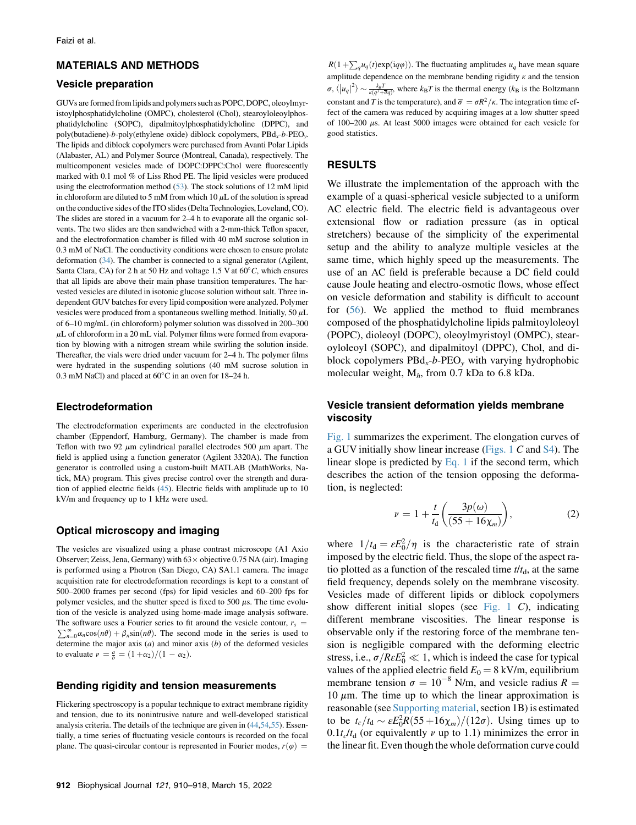### MATERIALS AND METHODS

#### Vesicle preparation

GUVs are formed from lipids and polymers such as POPC, DOPC, oleoylmyristoylphosphatidylcholine (OMPC), cholesterol (Chol), stearoyloleoylphosphatidylcholine (SOPC), dipalmitoylphosphatidylcholine (DPPC), and poly(butadiene)-b-poly(ethylene oxide) diblock copolymers,  $\text{Pbd}_x$ -b- $\text{PEO}_y$ . The lipids and diblock copolymers were purchased from Avanti Polar Lipids (Alabaster, AL) and Polymer Source (Montreal, Canada), respectively. The multicomponent vesicles made of DOPC:DPPC:Chol were fluorescently marked with 0.1 mol % of Liss Rhod PE. The lipid vesicles were produced using the electroformation method ([53\)](#page-8-2). The stock solutions of 12 mM lipid in chloroform are diluted to 5 mM from which 10  $\mu$ L of the solution is spread on the conductive sides of the ITO slides (Delta Technologies, Loveland, CO). The slides are stored in a vacuum for 2–4 h to evaporate all the organic solvents. The two slides are then sandwiched with a 2-mm-thick Teflon spacer, and the electroformation chamber is filled with 40 mM sucrose solution in 0.3 mM of NaCl. The conductivity conditions were chosen to ensure prolate deformation ([34\)](#page-7-28). The chamber is connected to a signal generator (Agilent, Santa Clara, CA) for 2 h at 50 Hz and voltage 1.5 V at  $60^{\circ}$ C, which ensures that all lipids are above their main phase transition temperatures. The harvested vesicles are diluted in isotonic glucose solution without salt. Three independent GUV batches for every lipid composition were analyzed. Polymer vesicles were produced from a spontaneous swelling method. Initially, 50  $\mu$ L of 6–10 mg/mL (in chloroform) polymer solution was dissolved in 200–300  $\mu$ L of chloroform in a 20 mL vial. Polymer films were formed from evaporation by blowing with a nitrogen stream while swirling the solution inside. Thereafter, the vials were dried under vacuum for 2–4 h. The polymer films were hydrated in the suspending solutions (40 mM sucrose solution in 0.3 mM NaCl) and placed at  $60^{\circ}$ C in an oven for 18–24 h.

#### Electrodeformation

The electrodeformation experiments are conducted in the electrofusion chamber (Eppendorf, Hamburg, Germany). The chamber is made from Teflon with two 92  $\mu$ m cylindrical parallel electrodes 500  $\mu$ m apart. The field is applied using a function generator (Agilent 3320A). The function generator is controlled using a custom-built MATLAB (MathWorks, Natick, MA) program. This gives precise control over the strength and duration of applied electric fields ([45\)](#page-8-3). Electric fields with amplitude up to 10 kV/m and frequency up to 1 kHz were used.

#### <span id="page-2-0"></span>Optical microscopy and imaging

The vesicles are visualized using a phase contrast microscope (A1 Axio Observer; Zeiss, Jena, Germany) with  $63 \times$  objective 0.75 NA (air). Imaging is performed using a Photron (San Diego, CA) SA1.1 camera. The image acquisition rate for electrodeformation recordings is kept to a constant of 500–2000 frames per second (fps) for lipid vesicles and 60–200 fps for polymer vesicles, and the shutter speed is fixed to 500  $\mu$ s. The time evolution of the vesicle is analyzed using home-made image analysis software. The software uses a Fourier series to fit around the vesicle contour,  $r_s$  = The software uses a Fourier series to fit around the vesicle contour,  $r_s = \sum_{n=0}^{\infty} \alpha_n \cos(n\theta) + \beta_n \sin(n\theta)$ . The second mode in the series is used to determine the major axis (a) and minor axis (b) of the deformed vesicles determine the major axis  $(a)$  and minor axis  $(b)$  of the deformed vesicles to evaluate  $\nu = \frac{a}{b} = (1 + \alpha_2)/(1 - \alpha_2)$ .

#### Bending rigidity and tension measurements

Flickering spectroscopy is a popular technique to extract membrane rigidity and tension, due to its nonintrusive nature and well-developed statistical analysis criteria. The details of the technique are given in [\(44](#page-7-29)[,54](#page-8-4)[,55](#page-8-5)). Essentially, a time series of fluctuating vesicle contours is recorded on the focal plane. The quasi-circular contour is represented in Fourier modes,  $r(\varphi) =$ 

 $R(1 + \sum_{q} u_q(t) \exp(iq\varphi))$ . The fluctuating amplitudes  $u_q$  have mean square amplitude dependence on the membrane bending rigidity  $\kappa$  and the tension  $\sigma$ ,  $\langle |u_q|^2 \rangle \sim \frac{k_B T}{\sqrt{q^2 + \sigma q}}$ , where  $k_B T$  is the thermal energy  $(k_B$  is the Boltzmann constant and T is the temperature), and  $\bar{\sigma} = \sigma R^2 / \kappa$ . The integration time effect of the camera was reduced by acquiring images at a low shutter speed of 100–200  $\mu$ s. At least 5000 images were obtained for each vesicle for good statistics.

## RESULTS

We illustrate the implementation of the approach with the example of a quasi-spherical vesicle subjected to a uniform AC electric field. The electric field is advantageous over extensional flow or radiation pressure (as in optical stretchers) because of the simplicity of the experimental setup and the ability to analyze multiple vesicles at the same time, which highly speed up the measurements. The use of an AC field is preferable because a DC field could cause Joule heating and electro-osmotic flows, whose effect on vesicle deformation and stability is difficult to account for ([56\)](#page-8-6). We applied the method to fluid membranes composed of the phosphatidylcholine lipids palmitoyloleoyl (POPC), dioleoyl (DOPC), oleoylmyristoyl (OMPC), stearoyloleoyl (SOPC), and dipalmitoyl (DPPC), Chol, and diblock copolymers  $P B d_x-b-PEO_y$  with varying hydrophobic molecular weight,  $M<sub>h</sub>$ , from 0.7 kDa to 6.8 kDa.

## Vesicle transient deformation yields membrane viscosity

[Fig. 1](#page-1-0) summarizes the experiment. The elongation curves of a GUV initially show linear increase ([Figs. 1](#page-1-0) C and S4). The linear slope is predicted by  $Eq. 1$  if the second term, which describes the action of the tension opposing the deformation, is neglected:

$$
\nu = 1 + \frac{t}{t_{\rm d}} \left( \frac{3p(\omega)}{(55 + 16\chi_m)} \right),\tag{2}
$$

where  $1/t_d = \varepsilon E_0^2/\eta$  is the characteristic rate of strain<br>imposed by the electric field. Thus the slope of the aspect raimposed by the electric field. Thus, the slope of the aspect ratio plotted as a function of the rescaled time  $t/t<sub>d</sub>$ , at the same field frequency, depends solely on the membrane viscosity. Vesicles made of different lipids or diblock copolymers show different initial slopes (see [Fig. 1](#page-1-0) C), indicating different membrane viscosities. The linear response is observable only if the restoring force of the membrane tension is negligible compared with the deforming electric stress, i.e.,  $\sigma/ReE_0^2 \ll 1$ , which is indeed the case for typical<br>values of the annihed electric field  $E_2 = 8$  kV/m equilibrium values of the applied electric field  $E_0 = 8 \text{ kV/m}$ , equilibrium membrane tension  $\sigma = 10^{-8}$  N/m, and vesicle radius R = 10  $\mu$ m. The time up to which the linear approximation is reasonable (see Supporting material, section 1B) is estimated to be  $t_c/t_d \sim \varepsilon E_0^2 R(55 + 16\chi_m)/(12\sigma)$ . Using times up to 0.1*t*  $/t_1$  (or equivalently *y* up to 1.1) minimizes the error in  $0.1t_c/t_d$  (or equivalently v up to 1.1) minimizes the error in the linear fit. Even though the whole deformation curve could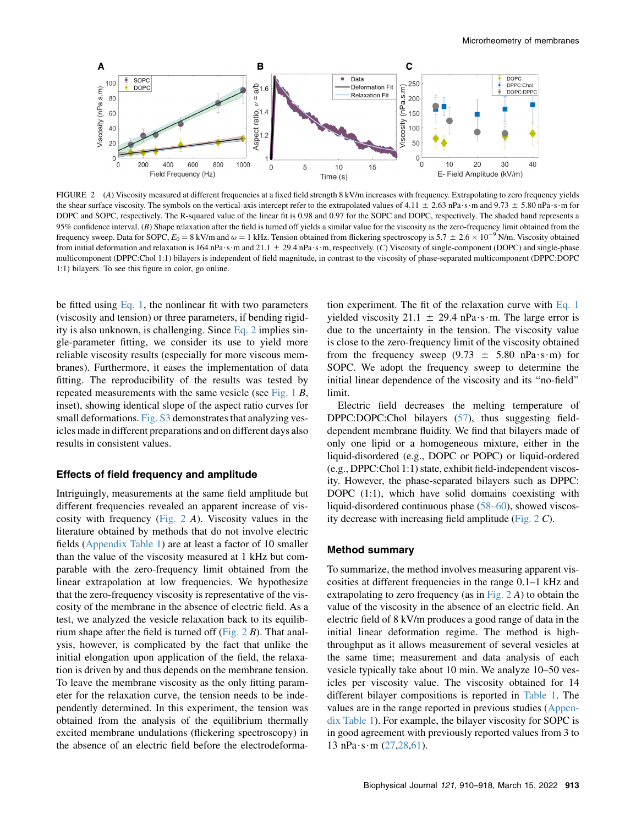<span id="page-3-0"></span>

FIGURE 2 (A) Viscosity measured at different frequencies at a fixed field strength 8 kV/m increases with frequency. Extrapolating to zero frequency yields the shear surface viscosity. The symbols on the vertical-axis intercept refer to the extrapolated values of 4.11  $\pm$  2.63 nPa $\cdot$ s $\cdot$ m and 9.73  $\pm$  5.80 nPa $\cdot$ s $\cdot$ m for DOPC and SOPC, respectively. The R-squared value of the linear fit is 0.98 and 0.97 for the SOPC and DOPC, respectively. The shaded band represents a 95% confidence interval. (B) Shape relaxation after the field is turned off yields a similar value for the viscosity as the zero-frequency limit obtained from the frequency sweep. Data for SOPC,  $E_0 = 8$  kV/m and  $\omega = 1$  kHz. Tension obtained from flickering spectroscopy is 5.7  $\pm$  2.6  $\times$  10<sup>-9</sup> N/m. Viscosity obtained from initial deformation and relaxation is 164 nPa  $\cdot$ s · m and 21.1  $\pm$  29.4 nPa  $\cdot$ s · m, respectively. (C) Viscosity of single-component (DOPC) and single-phase multicomponent (DPPC:Chol 1:1) bilayers is independent of field magnitude, in contrast to the viscosity of phase-separated multicomponent (DPPC:DOPC 1:1) bilayers. To see this figure in color, go online.

be fitted using [Eq. 1](#page-1-1), the nonlinear fit with two parameters (viscosity and tension) or three parameters, if bending rigidity is also unknown, is challenging. Since [Eq. 2](#page-2-0) implies single-parameter fitting, we consider its use to yield more reliable viscosity results (especially for more viscous membranes). Furthermore, it eases the implementation of data fitting. The reproducibility of the results was tested by repeated measurements with the same vesicle (see [Fig. 1](#page-1-0) B, inset), showing identical slope of the aspect ratio curves for small deformations. Fig. S3 demonstrates that analyzing vesicles made in different preparations and on different days also results in consistent values.

#### Effects of field frequency and amplitude

Intriguingly, measurements at the same field amplitude but different frequencies revealed an apparent increase of viscosity with frequency [\(Fig. 2](#page-3-0) A). Viscosity values in the literature obtained by methods that do not involve electric fields [\(Appendix Table 1](#page-5-0)) are at least a factor of 10 smaller than the value of the viscosity measured at 1 kHz but comparable with the zero-frequency limit obtained from the linear extrapolation at low frequencies. We hypothesize that the zero-frequency viscosity is representative of the viscosity of the membrane in the absence of electric field. As a test, we analyzed the vesicle relaxation back to its equilibrium shape after the field is turned off (Fig.  $2 B$ ). That analysis, however, is complicated by the fact that unlike the initial elongation upon application of the field, the relaxation is driven by and thus depends on the membrane tension. To leave the membrane viscosity as the only fitting parameter for the relaxation curve, the tension needs to be independently determined. In this experiment, the tension was obtained from the analysis of the equilibrium thermally excited membrane undulations (flickering spectroscopy) in the absence of an electric field before the electrodeformation experiment. The fit of the relaxation curve with [Eq. 1](#page-1-1) yielded viscosity 21.1  $\pm$  29.4 nPa $\cdot$ s $\cdot$ m. The large error is due to the uncertainty in the tension. The viscosity value is close to the zero-frequency limit of the viscosity obtained from the frequency sweep (9.73  $\pm$  5.80 nPa $\cdot$ s $\cdot$ m) for SOPC. We adopt the frequency sweep to determine the initial linear dependence of the viscosity and its ''no-field'' limit.

Electric field decreases the melting temperature of DPPC:DOPC:Chol bilayers [\(57](#page-8-7)), thus suggesting fielddependent membrane fluidity. We find that bilayers made of only one lipid or a homogeneous mixture, either in the liquid-disordered (e.g., DOPC or POPC) or liquid-ordered (e.g., DPPC:Chol 1:1) state, exhibit field-independent viscosity. However, the phase-separated bilayers such as DPPC: DOPC (1:1), which have solid domains coexisting with liquid-disordered continuous phase ([58–60\)](#page-8-8), showed viscosity decrease with increasing field amplitude ([Fig. 2](#page-3-0) C).

#### Method summary

To summarize, the method involves measuring apparent viscosities at different frequencies in the range 0.1–1 kHz and extrapolating to zero frequency (as in Fig.  $2A$ ) to obtain the value of the viscosity in the absence of an electric field. An electric field of 8 kV/m produces a good range of data in the initial linear deformation regime. The method is highthroughput as it allows measurement of several vesicles at the same time; measurement and data analysis of each vesicle typically take about 10 min. We analyze 10–50 vesicles per viscosity value. The viscosity obtained for 14 different bilayer compositions is reported in [Table 1.](#page-4-0) The values are in the range reported in previous studies ([Appen](#page-5-0)[dix Table 1](#page-5-0)). For example, the bilayer viscosity for SOPC is in good agreement with previously reported values from 3 to  $13$  nPa $\cdot$ s $\cdot$ m [\(27](#page-7-30),[28,](#page-7-17)[61](#page-8-9)).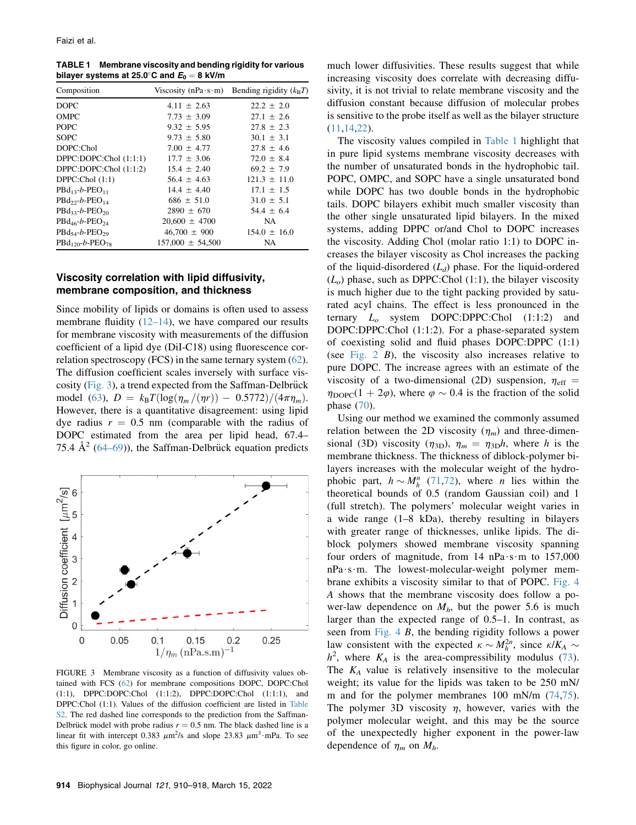<span id="page-4-0"></span>TABLE 1 Membrane viscosity and bending rigidity for various bilayer systems at 25.0°C and  $E_0 = 8$  kV/m

| Composition                  |                      | Viscosity (nPa·s·m) Bending rigidity $(k_B T)$ |
|------------------------------|----------------------|------------------------------------------------|
| <b>DOPC</b>                  | $4.11 + 2.63$        | $22.2 \pm 2.0$                                 |
| OMPC                         | $7.73 + 3.09$        | $27.1 + 2.6$                                   |
| <b>POPC</b>                  | $9.32 + 5.95$        | $27.8 + 2.3$                                   |
| <b>SOPC</b>                  | $9.73 \pm 5.80$      | $30.1 \pm 3.1$                                 |
| DOPC:Chol                    | $7.00 + 4.77$        | $27.8 + 4.6$                                   |
| DPPC:DOPC:Chol (1:1:1)       | $17.7 + 3.06$        | $72.0 + 8.4$                                   |
| DPPC:DOPC:Chol (1:1:2)       | $15.4 \pm 2.40$      | $69.2 \pm 7.9$                                 |
| DPPC:Chol $(1:1)$            | $56.4 + 4.63$        | $121.3 + 11.0$                                 |
| $P Bd_{13} - b - P EO_{11}$  | $14.4 + 4.40$        | $17.1 \pm 1.5$                                 |
| $PBd_{22}-b-PEO_{14}$        | $686 \pm 51.0$       | $31.0 \pm 5.1$                                 |
| $P Bd_{33} - b - P EO_{20}$  | $2890 \pm 670$       | $54.4 \pm 6.4$                                 |
| $P Bd_{46} - b - P EO_{24}$  | $20.600 \pm 4700$    | NA.                                            |
| $P Bd_{54} - b - P EO_{29}$  | $46,700 \pm 900$     | $154.0 \pm 16.0$                               |
| $P Bd_{120} - b - P EO_{78}$ | $157,000 \pm 54,500$ | NA                                             |

## Viscosity correlation with lipid diffusivity, membrane composition, and thickness

Since mobility of lipids or domains is often used to assess membrane fluidity  $(12-14)$ , we have compared our results for membrane viscosity with measurements of the diffusion coefficient of a lipid dye (DiI-C18) using fluorescence correlation spectroscopy (FCS) in the same ternary system ([62\)](#page-8-10). The diffusion coefficient scales inversely with surface vis-cosity ([Fig. 3](#page-4-1)), a trend expected from the Saffman-Delbrück model ([63](#page-8-11)),  $D = k_B T(\log(\eta_m/(\eta r)) - 0.5772)/(4\pi\eta_m)$ . However, there is a quantitative disagreement: using lipid dye radius  $r = 0.5$  nm (comparable with the radius of DOPC estimated from the area per lipid head, 67.4– 75.4  $\AA^2$  ([64–69\)](#page-8-12)), the Saffman-Delbrück equation predicts

<span id="page-4-1"></span>

FIGURE 3 Membrane viscosity as a function of diffusivity values obtained with FCS [\(62](#page-8-10)) for membrane compositions DOPC, DOPC:Chol (1:1), DPPC:DOPC:Chol (1:1:2), DPPC:DOPC:Chol (1:1:1), and DPPC:Chol (1:1). Values of the diffusion coefficient are listed in Table S2. The red dashed line corresponds to the prediction from the Saffman-Delbrück model with probe radius  $r = 0.5$  nm. The black dashed line is a linear fit with intercept 0.383  $\mu$ m<sup>2</sup>/s and slope 23.83  $\mu$ m<sup>3</sup>·mPa. To see this figure in color, go online.

The viscosity values compiled in [Table 1](#page-4-0) highlight that in pure lipid systems membrane viscosity decreases with the number of unsaturated bonds in the hydrophobic tail. POPC, OMPC, and SOPC have a single unsaturated bond while DOPC has two double bonds in the hydrophobic tails. DOPC bilayers exhibit much smaller viscosity than the other single unsaturated lipid bilayers. In the mixed systems, adding DPPC or/and Chol to DOPC increases the viscosity. Adding Chol (molar ratio 1:1) to DOPC increases the bilayer viscosity as Chol increases the packing of the liquid-disordered  $(L_d)$  phase. For the liquid-ordered  $(L<sub>o</sub>)$  phase, such as DPPC:Chol (1:1), the bilayer viscosity is much higher due to the tight packing provided by saturated acyl chains. The effect is less pronounced in the ternary  $L_o$  system DOPC:DPPC:Chol  $(1:1:2)$  and DOPC:DPPC:Chol (1:1:2). For a phase-separated system of coexisting solid and fluid phases DOPC:DPPC (1:1) (see Fig.  $2$  B), the viscosity also increases relative to pure DOPC. The increase agrees with an estimate of the viscosity of a two-dimensional (2D) suspension,  $\eta_{\text{eff}}$  =  $\eta_{\text{DOPC}}(1 + 2\varphi)$ , where  $\varphi \sim 0.4$  is the fraction of the solid phase [\(70](#page-8-13)).

Using our method we examined the commonly assumed relation between the 2D viscosity  $(\eta_m)$  and three-dimensional (3D) viscosity ( $\eta_{3D}$ ),  $\eta_m = \eta_{3D}h$ , where h is the membrane thickness. The thickness of diblock-polymer bilayers increases with the molecular weight of the hydrophobic part,  $h \sim M_h^n$  ([71,](#page-8-14)[72](#page-8-15)), where *n* lies within the theoretical bounds of 0.5 (random Gaussian coil) and 1 (full stretch). The polymers' molecular weight varies in a wide range (1–8 kDa), thereby resulting in bilayers with greater range of thicknesses, unlike lipids. The diblock polymers showed membrane viscosity spanning four orders of magnitude, from 14 nPa $\cdot$ s $\cdot$ m to 157,000  $nPa·s·m$ . The lowest-molecular-weight polymer membrane exhibits a viscosity similar to that of POPC. [Fig. 4](#page-5-1) A shows that the membrane viscosity does follow a power-law dependence on  $M_h$ , but the power 5.6 is much larger than the expected range of 0.5–1. In contrast, as seen from [Fig. 4](#page-5-1) B, the bending rigidity follows a power law consistent with the expected  $\kappa \sim M_h^{2n}$ , since  $\kappa/K_A \sim h^2$  where K, is the area-compressibility modulus (73)  $h^2$ , where  $K_A$  is the area-compressibility modulus ([73\)](#page-8-16). The  $K_A$  value is relatively insensitive to the molecular weight; its value for the lipids was taken to be 250 mN/ m and for the polymer membranes 100 mN/m  $(74,75)$  $(74,75)$  $(74,75)$  $(74,75)$ . The polymer 3D viscosity  $\eta$ , however, varies with the polymer molecular weight, and this may be the source of the unexpectedly higher exponent in the power-law dependence of  $\eta_m$  on  $M_h$ .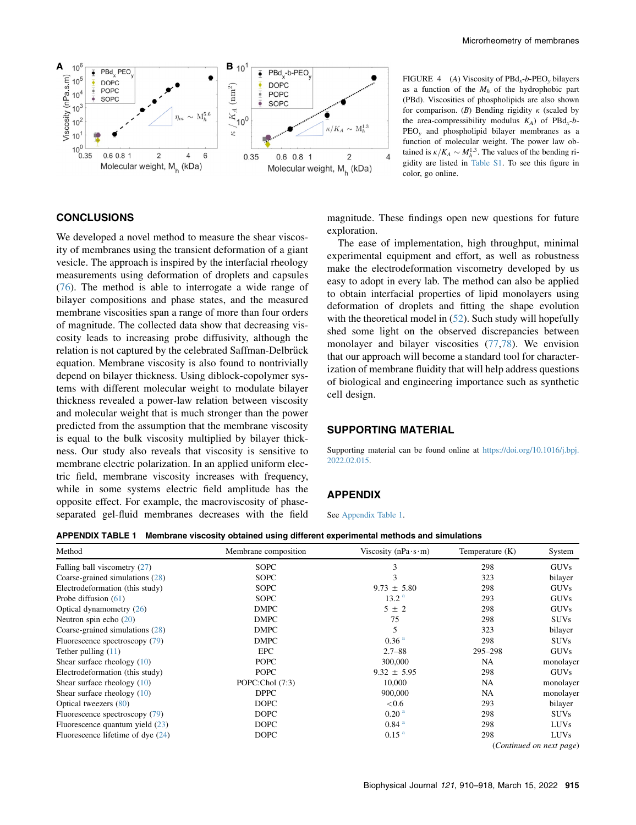<span id="page-5-1"></span>

FIGURE 4 (A) Viscosity of  $PBd<sub>x</sub>$ -b-PEO<sub>v</sub> bilayers as a function of the  $M_h$  of the hydrophobic part (PBd). Viscosities of phospholipids are also shown for comparison. (B) Bending rigidity  $\kappa$  (scaled by the area-compressibility modulus  $K_A$ ) of PBd<sub>x</sub>-b-PEO<sub>y</sub> and phospholipid bilayer membranes as a function of molecular weight. The power law obtained is  $\kappa/K_A \sim M_h^{1.3}$ . The values of the bending ri-<br>gidity are listed in Table S1. To see this figure in gidity are listed in Table S1. To see this figure in color, go online.

## **CONCLUSIONS**

We developed a novel method to measure the shear viscosity of membranes using the transient deformation of a giant vesicle. The approach is inspired by the interfacial rheology measurements using deformation of droplets and capsules ([76\)](#page-8-19). The method is able to interrogate a wide range of bilayer compositions and phase states, and the measured membrane viscosities span a range of more than four orders of magnitude. The collected data show that decreasing viscosity leads to increasing probe diffusivity, although the relation is not captured by the celebrated Saffman-Delbrück equation. Membrane viscosity is also found to nontrivially depend on bilayer thickness. Using diblock-copolymer systems with different molecular weight to modulate bilayer thickness revealed a power-law relation between viscosity and molecular weight that is much stronger than the power predicted from the assumption that the membrane viscosity is equal to the bulk viscosity multiplied by bilayer thickness. Our study also reveals that viscosity is sensitive to membrane electric polarization. In an applied uniform electric field, membrane viscosity increases with frequency, while in some systems electric field amplitude has the opposite effect. For example, the macroviscosity of phaseseparated gel-fluid membranes decreases with the field magnitude. These findings open new questions for future exploration.

The ease of implementation, high throughput, minimal experimental equipment and effort, as well as robustness make the electrodeformation viscometry developed by us easy to adopt in every lab. The method can also be applied to obtain interfacial properties of lipid monolayers using deformation of droplets and fitting the shape evolution with the theoretical model in  $(52)$  $(52)$ . Such study will hopefully shed some light on the observed discrepancies between monolayer and bilayer viscosities [\(77](#page-8-21),[78\)](#page-8-22). We envision that our approach will become a standard tool for characterization of membrane fluidity that will help address questions of biological and engineering importance such as synthetic cell design.

## SUPPORTING MATERIAL

Supporting material can be found online at [https://doi.org/10.1016/j.bpj.](https://doi.org/10.1016/j.bpj.2022.02.015) [2022.02.015](https://doi.org/10.1016/j.bpj.2022.02.015).

#### APPENDIX

See [Appendix Table 1](#page-5-0).

<span id="page-5-0"></span>APPENDIX TABLE 1 Membrane viscosity obtained using different experimental methods and simulations

| Method                              | Membrane composition | Viscosity (nPa $\cdot$ s $\cdot$ m) | Temperature (K) | System                   |
|-------------------------------------|----------------------|-------------------------------------|-----------------|--------------------------|
| Falling ball viscometry $(27)$      | <b>SOPC</b>          | 3                                   | 298             | <b>GUVs</b>              |
| Coarse-grained simulations (28)     | <b>SOPC</b>          | 3                                   | 323             | bilayer                  |
| Electrodeformation (this study)     | <b>SOPC</b>          | $9.73 \pm 5.80$                     | 298             | <b>GUVs</b>              |
| Probe diffusion $(61)$              | <b>SOPC</b>          | 13.2 <sup>a</sup>                   | 293             | <b>GUVs</b>              |
| Optical dynamometry $(26)$          | <b>DMPC</b>          | $5 \pm 2$                           | 298             | <b>GUVs</b>              |
| Neutron spin echo $(20)$            | <b>DMPC</b>          | 75                                  | 298             | <b>SUVs</b>              |
| Coarse-grained simulations $(28)$   | <b>DMPC</b>          | 5                                   | 323             | bilayer                  |
| Fluorescence spectroscopy (79)      | <b>DMPC</b>          | 0.36 <sup>a</sup>                   | 298             | <b>SUVs</b>              |
| Tether pulling $(11)$               | <b>EPC</b>           | $2.7 - 88$                          | 295-298         | <b>GUVs</b>              |
| Shear surface rheology $(10)$       | <b>POPC</b>          | 300,000                             | NA              | monolayer                |
| Electrodeformation (this study)     | <b>POPC</b>          | $9.32 \pm 5.95$                     | 298             | <b>GUVs</b>              |
| Shear surface rheology $(10)$       | POPC:Chol (7:3)      | 10,000                              | NA              | monolayer                |
| Shear surface rheology $(10)$       | <b>DPPC</b>          | 900,000                             | NA              | monolayer                |
| Optical tweezers (80)               | <b>DOPC</b>          | < 0.6                               | 293             | bilayer                  |
| Fluorescence spectroscopy (79)      | <b>DOPC</b>          | 0.20 <sup>a</sup>                   | 298             | <b>SUVs</b>              |
| Fluorescence quantum yield $(23)$   | <b>DOPC</b>          | $0.84$ <sup>a</sup>                 | 298             | <b>LUVs</b>              |
| Fluorescence lifetime of dye $(24)$ | <b>DOPC</b>          | 0.15 <sup>a</sup>                   | 298             | <b>LUVs</b>              |
|                                     |                      |                                     |                 | (Continued on next page) |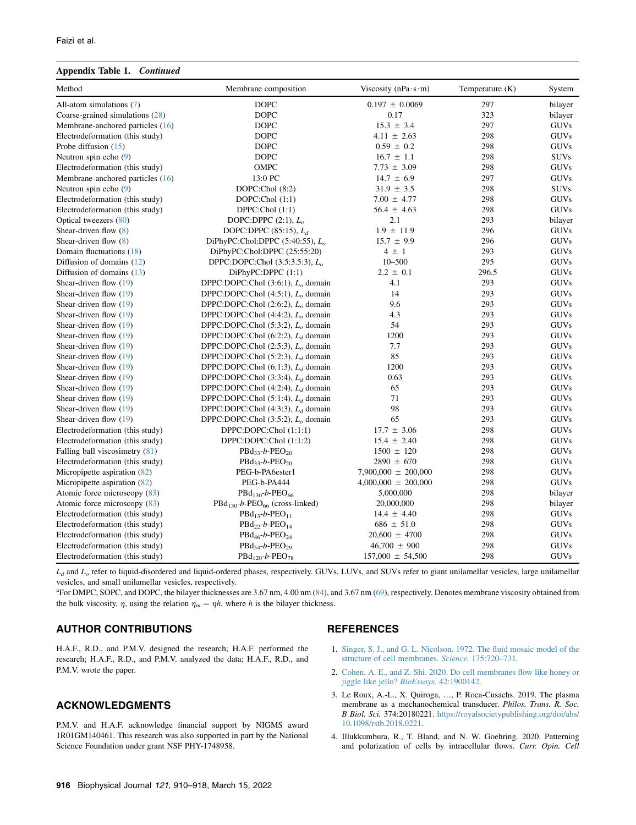#### Appendix Table 1. Continued

| Method                           | Membrane composition                                   | Viscosity (nPa $\cdot$ s $\cdot$ m) | Temperature (K) | System      |
|----------------------------------|--------------------------------------------------------|-------------------------------------|-----------------|-------------|
| All-atom simulations $(7)$       | <b>DOPC</b>                                            | $0.197 \pm 0.0069$                  | 297             | bilayer     |
| Coarse-grained simulations (28)  | <b>DOPC</b>                                            | 0.17                                | 323             | bilayer     |
| Membrane-anchored particles (16) | <b>DOPC</b>                                            | $15.3 \pm 3.4$                      | 297             | <b>GUVs</b> |
| Electrodeformation (this study)  | <b>DOPC</b>                                            | $4.11 \pm 2.63$                     | 298             | <b>GUVs</b> |
| Probe diffusion $(15)$           | <b>DOPC</b>                                            | $0.59 \pm 0.2$                      | 298             | <b>GUVs</b> |
| Neutron spin echo $(9)$          | <b>DOPC</b>                                            | $16.7 \pm 1.1$                      | 298             | <b>SUVs</b> |
| Electrodeformation (this study)  | OMPC                                                   | $7.73 \pm 3.09$                     | 298             | <b>GUVs</b> |
| Membrane-anchored particles (16) | 13:0 PC                                                | $14.7 \pm 6.9$                      | 297             | <b>GUVs</b> |
| Neutron spin echo $(9)$          | DOPC:Chol (8:2)                                        | $31.9 \pm 3.5$                      | 298             | <b>SUVs</b> |
| Electrodeformation (this study)  | DOPC:Chol $(1:1)$                                      | $7.00 \pm 4.77$                     | 298             | <b>GUVs</b> |
| Electrodeformation (this study)  | DPPC:Chol (1:1)                                        | $56.4 \pm 4.63$                     | 298             | <b>GUVs</b> |
| Optical tweezers (80)            | DOPC:DPPC $(2:1)$ , $Lo$                               | 2.1                                 | 293             | bilayer     |
| Shear-driven flow $(8)$          | DOPC:DPPC $(85:15)$ , $L_d$                            | $1.9 \pm 11.9$                      | 296             | <b>GUVs</b> |
| Shear-driven flow $(8)$          | DiPhyPC:Chol:DPPC $(5:40:55)$ , $L_a$                  | $15.7 \pm 9.9$                      | 296             | <b>GUVs</b> |
| Domain fluctuations (18)         | DiPhyPC:Chol:DPPC (25:55:20)                           | $4 \pm 1$                           | 293             | <b>GUVs</b> |
| Diffusion of domains $(12)$      | DPPC:DOPC:Chol $(3.5:3.5:3)$ , $L_0$                   | $10 - 500$                          | 295             | <b>GUVs</b> |
| Diffusion of domains (13)        | DiPhyPC:DPPC(1:1)                                      | $2.2 \pm 0.1$                       | 296.5           | <b>GUVs</b> |
| Shear-driven flow (19)           | DPPC:DOPC:Chol $(3:6:1)$ , $L_0$ domain                | 4.1                                 | 293             | <b>GUVs</b> |
| Shear-driven flow (19)           | DPPC:DOPC:Chol $(4:5:1)$ , $Lo$ domain                 | 14                                  | 293             | GUVs        |
| Shear-driven flow $(19)$         | DPPC:DOPC:Chol $(2:6:2)$ , $Lo$ domain                 | 9.6                                 | 293             | <b>GUVs</b> |
| Shear-driven flow (19)           | DPPC:DOPC:Chol $(4:4:2)$ , $Lo$ domain                 | 4.3                                 | 293             | <b>GUVs</b> |
| Shear-driven flow $(19)$         | DPPC:DOPC:Chol $(5:3:2)$ , $L_0$ domain                | 54                                  | 293             | <b>GUVs</b> |
| Shear-driven flow (19)           | DPPC:DOPC:Chol $(6:2:2)$ , $L_d$ domain                | 1200                                | 293             | <b>GUVs</b> |
| Shear-driven flow (19)           | DPPC:DOPC:Chol $(2:5:3)$ , $Lo$ domain                 | 7.7                                 | 293             | <b>GUVs</b> |
| Shear-driven flow (19)           | DPPC:DOPC:Chol $(5:2:3)$ , $L_d$ domain                | 85                                  | 293             | <b>GUVs</b> |
| Shear-driven flow $(19)$         | DPPC:DOPC:Chol $(6:1:3)$ , $L_d$ domain                | 1200                                | 293             | <b>GUVs</b> |
| Shear-driven flow $(19)$         | DPPC:DOPC:Chol $(3:3:4)$ , $L_d$ domain                | 0.63                                | 293             | <b>GUVs</b> |
| Shear-driven flow $(19)$         | DPPC:DOPC:Chol (4:2:4), $L_d$ domain                   | 65                                  | 293             | <b>GUVs</b> |
| Shear-driven flow $(19)$         | DPPC:DOPC:Chol (5:1:4), L <sub>d</sub> domain          | 71                                  | 293             | <b>GUVs</b> |
| Shear-driven flow (19)           | DPPC:DOPC:Chol $(4:3:3)$ , $L_d$ domain                | 98                                  | 293             | <b>GUVs</b> |
| Shear-driven flow (19)           | DPPC:DOPC:Chol $(3:5:2)$ , $Lo$ domain                 | 65                                  | 293             | <b>GUVs</b> |
| Electrodeformation (this study)  | DPPC:DOPC:Chol (1:1:1)                                 | $17.7 \pm 3.06$                     | 298             | <b>GUVs</b> |
| Electrodeformation (this study)  | DPPC:DOPC:Chol (1:1:2)                                 | $15.4 \pm 2.40$                     | 298             | <b>GUVs</b> |
| Falling ball viscosimetry (81)   | $PBd_{33}$ -b-PEO <sub>20</sub>                        | $1500 \pm 120$                      | 298             | <b>GUVs</b> |
| Electrodeformation (this study)  | $PBd_{33}-b-PEO_{20}$                                  | $2890 \pm 670$                      | 298             | <b>GUVs</b> |
| Micropipette aspiration (82)     | PEG-b-PA6ester1                                        | $7,900,000 \pm 200,000$             | 298             | <b>GUVs</b> |
| Micropipette aspiration (82)     | PEG-b-PA444                                            | $4,000,000 \pm 200,000$             | 298             | <b>GUVs</b> |
| Atomic force microscopy (83)     | $P Bd_{130} - b - P EO_{66}$                           | 5,000,000                           | 298             | bilayer     |
| Atomic force microscopy (83)     | PBd <sub>130</sub> -b-PEO <sub>66</sub> (cross-linked) | 20,000,000                          | 298             | bilayer     |
| Electrodeformation (this study)  | $P Bd_{13}$ -b-PEO <sub>11</sub>                       | $14.4 \pm 4.40$                     | 298             | <b>GUVs</b> |
| Electrodeformation (this study)  | $PBd_{22}-b-PEO_{14}$                                  | $686 \pm 51.0$                      | 298             | <b>GUVs</b> |
| Electrodeformation (this study)  | $PBd_{46}$ -b-PEO <sub>24</sub>                        | $20,600 \pm 4700$                   | 298             | <b>GUVs</b> |
| Electrodeformation (this study)  | $PBd_{54}-b-PEO_{29}$                                  | $46,700 \pm 900$                    | 298             | <b>GUVs</b> |
| Electrodeformation (this study)  | $\text{PBd}_{120}$ -b-PEO <sub>78</sub>                | $157,000 \pm 54,500$                | 298             | <b>GUVs</b> |

 $L_d$  and  $L_o$  refer to liquid-disordered and liquid-ordered phases, respectively. GUVs, LUVs, and SUVs refer to giant unilamellar vesicles, large unilamellar vesicles, and small unilamellar vesicles, respectively.

<span id="page-6-2"></span>a For DMPC, SOPC, and DOPC, the bilayer thicknesses are 3.67 nm, 4.00 nm [\(84](#page-8-28)), and 3.67 nm ([69\)](#page-8-29), respectively. Denotes membrane viscosity obtained from the bulk viscosity,  $\eta$ , using the relation  $\eta_m = \eta h$ , where h is the bilayer thickness.

## AUTHOR CONTRIBUTIONS

H.A.F., R.D., and P.M.V. designed the research; H.A.F. performed the research; H.A.F., R.D., and P.M.V. analyzed the data; H.A.F., R.D., and P.M.V. wrote the paper.

## ACKNOWLEDGMENTS

P.M.V. and H.A.F. acknowledge financial support by NIGMS award 1R01GM140461. This research was also supported in part by the National Science Foundation under grant NSF PHY-1748958.

#### REFERENCES

- <span id="page-6-0"></span>1. [Singer, S. J., and G. L. Nicolson. 1972. The fluid mosaic model of the](http://refhub.elsevier.com/S0006-3495(22)00139-4/sref1) [structure of cell membranes.](http://refhub.elsevier.com/S0006-3495(22)00139-4/sref1) Science. 175:720–731.
- <span id="page-6-1"></span>2. [Cohen, A. E., and Z. Shi. 2020. Do cell membranes flow like honey or](http://refhub.elsevier.com/S0006-3495(22)00139-4/sref2) [jiggle like jello?](http://refhub.elsevier.com/S0006-3495(22)00139-4/sref2) BioEssays. 42:1900142.
- 3. Le Roux, A.-L., X. Quiroga, ..., P. Roca-Cusachs. 2019. The plasma membrane as a mechanochemical transducer. Philos. Trans. R. Soc. B Biol. Sci. 374:20180221. [https://royalsocietypublishing.org/doi/abs/](https://royalsocietypublishing.org/doi/abs/10.1098/rstb.2018.0221) [10.1098/rstb.2018.0221.](https://royalsocietypublishing.org/doi/abs/10.1098/rstb.2018.0221)
- 4. Illukkumbura, R., T. Bland, and N. W. Goehring. 2020. Patterning and polarization of cells by intracellular flows. Curr. Opin. Cell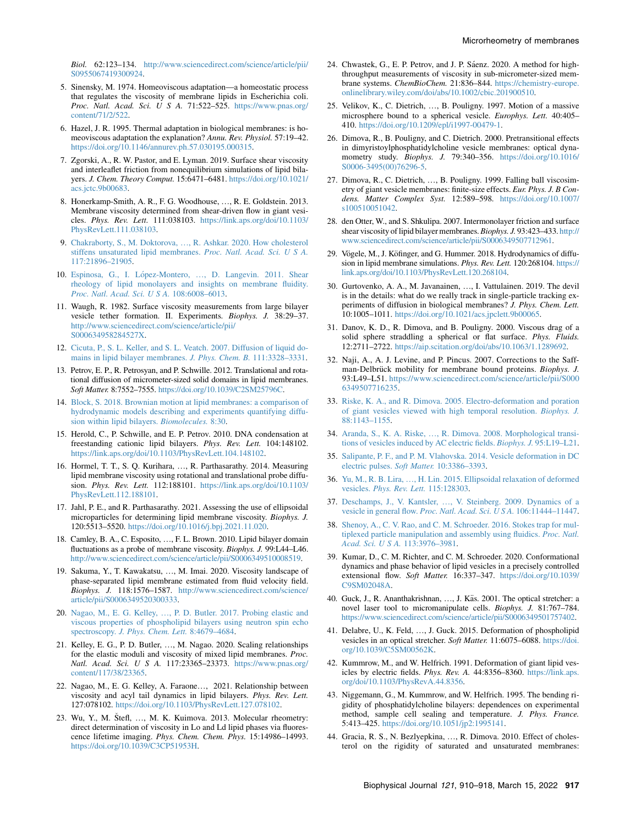Biol. 62:123–134. [http://www.sciencedirect.com/science/article/pii/](http://www.sciencedirect.com/science/article/pii/S0955067419300924) [S0955067419300924](http://www.sciencedirect.com/science/article/pii/S0955067419300924).

- <span id="page-7-0"></span>5. Sinensky, M. 1974. Homeoviscous adaptation—a homeostatic process that regulates the viscosity of membrane lipids in Escherichia coli. Proc. Natl. Acad. Sci. U S A. 71:522–525. [https://www.pnas.org/](https://www.pnas.org/content/71/2/522) [content/71/2/522](https://www.pnas.org/content/71/2/522).
- <span id="page-7-1"></span>6. Hazel, J. R. 1995. Thermal adaptation in biological membranes: is homeoviscous adaptation the explanation? Annu. Rev. Physiol. 57:19–42. <https://doi.org/10.1146/annurev.ph.57.030195.000315>.
- <span id="page-7-2"></span>7. Zgorski, A., R. W. Pastor, and E. Lyman. 2019. Surface shear viscosity and interleaflet friction from nonequilibrium simulations of lipid bilayers. J. Chem. Theory Comput. 15:6471–6481. [https://doi.org/10.1021/](https://doi.org/10.1021/acs.jctc.9b00683) [acs.jctc.9b00683.](https://doi.org/10.1021/acs.jctc.9b00683)
- <span id="page-7-3"></span>8. Honerkamp-Smith, A. R., F. G. Woodhouse, ., R. E. Goldstein. 2013. Membrane viscosity determined from shear-driven flow in giant vesicles. Phys. Rev. Lett. 111:038103. [https://link.aps.org/doi/10.1103/](https://link.aps.org/doi/10.1103/PhysRevLett.111.038103) [PhysRevLett.111.038103](https://link.aps.org/doi/10.1103/PhysRevLett.111.038103).
- <span id="page-7-4"></span>9. Chakraborty, S., M. Doktorova, .[, R. Ashkar. 2020. How cholesterol](http://refhub.elsevier.com/S0006-3495(22)00139-4/sref9) [stiffens unsaturated lipid membranes.](http://refhub.elsevier.com/S0006-3495(22)00139-4/sref9) Proc. Natl. Acad. Sci. U S A. [117:21896–21905](http://refhub.elsevier.com/S0006-3495(22)00139-4/sref9).
- <span id="page-7-5"></span>10. Espinosa, G., I. López-Montero, ..., D. Langevin. 2011. Shear [rheology of lipid monolayers and insights on membrane fluidity.](http://refhub.elsevier.com/S0006-3495(22)00139-4/sref10) [Proc. Natl. Acad. Sci. U S A.](http://refhub.elsevier.com/S0006-3495(22)00139-4/sref10) 108:6008–6013.
- <span id="page-7-6"></span>11. Waugh, R. 1982. Surface viscosity measurements from large bilayer vesicle tether formation. II. Experiments. Biophys. J. 38:29–37. [http://www.sciencedirect.com/science/article/pii/](http://www.sciencedirect.com/science/article/pii/S000634958284527X) [S000634958284527X](http://www.sciencedirect.com/science/article/pii/S000634958284527X).
- <span id="page-7-7"></span>12. [Cicuta, P., S. L. Keller, and S. L. Veatch. 2007. Diffusion of liquid do](http://refhub.elsevier.com/S0006-3495(22)00139-4/sref12)[mains in lipid bilayer membranes.](http://refhub.elsevier.com/S0006-3495(22)00139-4/sref12) J. Phys. Chem. B. 111:3328–3331.
- <span id="page-7-19"></span>13. Petrov, E. P., R. Petrosyan, and P. Schwille. 2012. Translational and rotational diffusion of micrometer-sized solid domains in lipid membranes. Soft Matter. 8:7552–7555. <https://doi.org/10.1039/C2SM25796C>.
- <span id="page-7-31"></span>14. [Block, S. 2018. Brownian motion at lipid membranes: a comparison of](http://refhub.elsevier.com/S0006-3495(22)00139-4/sref14) [hydrodynamic models describing and experiments quantifying diffu](http://refhub.elsevier.com/S0006-3495(22)00139-4/sref14)[sion within lipid bilayers.](http://refhub.elsevier.com/S0006-3495(22)00139-4/sref14) Biomolecules. 8:30.
- <span id="page-7-8"></span>15. Herold, C., P. Schwille, and E. P. Petrov. 2010. DNA condensation at freestanding cationic lipid bilayers. Phys. Rev. Lett. 104:148102. <https://link.aps.org/doi/10.1103/PhysRevLett.104.148102>.
- <span id="page-7-9"></span>16. Hormel, T. T., S. Q. Kurihara, ..., R. Parthasarathy. 2014. Measuring lipid membrane viscosity using rotational and translational probe diffusion. Phys. Rev. Lett. 112:188101. [https://link.aps.org/doi/10.1103/](https://link.aps.org/doi/10.1103/PhysRevLett.112.188101) [PhysRevLett.112.188101](https://link.aps.org/doi/10.1103/PhysRevLett.112.188101).
- <span id="page-7-10"></span>17. Jahl, P. E., and R. Parthasarathy. 2021. Assessing the use of ellipsoidal microparticles for determining lipid membrane viscosity. Biophys. J. 120:5513–5520. [https://doi.org/10.1016/j.bpj.2021.11.020.](https://doi.org/10.1016/j.bpj.2021.11.020)
- <span id="page-7-11"></span>18. Camley, B. A., C. Esposito, ., F. L. Brown. 2010. Lipid bilayer domain fluctuations as a probe of membrane viscosity. Biophys. J. 99:L44–L46. <http://www.sciencedirect.com/science/article/pii/S0006349510008519>.
- <span id="page-7-12"></span>19. Sakuma, Y., T. Kawakatsu, ..., M. Imai. 2020. Viscosity landscape of phase-separated lipid membrane estimated from fluid velocity field. Biophys. J. 118:1576–1587. [http://www.sciencedirect.com/science/](http://www.sciencedirect.com/science/article/pii/S0006349520300333) [article/pii/S0006349520300333](http://www.sciencedirect.com/science/article/pii/S0006349520300333).
- <span id="page-7-13"></span>20. Nagao, M., E. G. Kelley, .[, P. D. Butler. 2017. Probing elastic and](http://refhub.elsevier.com/S0006-3495(22)00139-4/sref19) [viscous properties of phospholipid bilayers using neutron spin echo](http://refhub.elsevier.com/S0006-3495(22)00139-4/sref19) spectroscopy. [J. Phys. Chem. Lett.](http://refhub.elsevier.com/S0006-3495(22)00139-4/sref19) 8:4679-4684.
- 21. Kelley, E. G., P. D. Butler, ..., M. Nagao. 2020. Scaling relationships for the elastic moduli and viscosity of mixed lipid membranes. Proc. Natl. Acad. Sci. U S A. 117:23365–23373. [https://www.pnas.org/](https://www.pnas.org/content/117/38/23365) [content/117/38/23365](https://www.pnas.org/content/117/38/23365).
- <span id="page-7-21"></span>22. Nagao, M., E. G. Kelley, A. Faraone..., 2021. Relationship between viscosity and acyl tail dynamics in lipid bilayers. Phys. Rev. Lett. 127:078102. [https://doi.org/10.1103/PhysRevLett.127.078102.](https://doi.org/10.1103/PhysRevLett.127.078102)
- <span id="page-7-14"></span>23. Wu, Y., M. Štefl, ..., M. K. Kuimova. 2013. Molecular rheometry: direct determination of viscosity in Lo and Ld lipid phases via fluorescence lifetime imaging. Phys. Chem. Chem. Phys. 15:14986–14993. <https://doi.org/10.1039/C3CP51953H>.
- <span id="page-7-15"></span>24. Chwastek, G., E. P. Petrov, and J. P. Sáenz. 2020. A method for highthroughput measurements of viscosity in sub-micrometer-sized membrane systems. ChemBioChem. 21:836–844. [https://chemistry-europe.](https://chemistry-europe.onlinelibrary.wiley.com/doi/abs/10.1002/cbic.201900510) [onlinelibrary.wiley.com/doi/abs/10.1002/cbic.201900510.](https://chemistry-europe.onlinelibrary.wiley.com/doi/abs/10.1002/cbic.201900510)
- <span id="page-7-16"></span>25. Velikov, K., C. Dietrich, ..., B. Pouligny. 1997. Motion of a massive microsphere bound to a spherical vesicle. Europhys. Lett. 40:405– 410. <https://doi.org/10.1209/epl/i1997-00479-1>.
- <span id="page-7-32"></span>26. Dimova, R., B. Pouligny, and C. Dietrich. 2000. Pretransitional effects in dimyristoylphosphatidylcholine vesicle membranes: optical dynamometry study. Biophys. J. 79:340–356. [https://doi.org/10.1016/](https://doi.org/10.1016/S0006-3495(00)76296-5) [S0006-3495\(00\)76296-5.](https://doi.org/10.1016/S0006-3495(00)76296-5)
- <span id="page-7-30"></span>27. Dimova, R., C. Dietrich, ..., B. Pouligny. 1999. Falling ball viscosimetry of giant vesicle membranes: finite-size effects. Eur. Phys. J. B Condens. Matter Complex Syst. 12:589–598. [https://doi.org/10.1007/](https://doi.org/10.1007/s100510051042) [s100510051042](https://doi.org/10.1007/s100510051042).
- <span id="page-7-17"></span>28. den Otter, W., and S. Shkulipa. 2007. Intermonolayer friction and surface shear viscosity of lipid bilayer membranes. Biophys. J. 93:423–433. [http://](http://www.sciencedirect.com/science/article/pii/S0006349507712961) [www.sciencedirect.com/science/article/pii/S0006349507712961.](http://www.sciencedirect.com/science/article/pii/S0006349507712961)
- <span id="page-7-18"></span>29. Vögele, M., J. Köfinger, and G. Hummer. 2018. Hydrodynamics of diffusion in lipid membrane simulations. Phys. Rev. Lett. 120:268104. [https://](https://link.aps.org/doi/10.1103/PhysRevLett.120.268104) [link.aps.org/doi/10.1103/PhysRevLett.120.268104.](https://link.aps.org/doi/10.1103/PhysRevLett.120.268104)
- <span id="page-7-20"></span>30. Gurtovenko, A. A., M. Javanainen, ., I. Vattulainen. 2019. The devil is in the details: what do we really track in single-particle tracking experiments of diffusion in biological membranes? J. Phys. Chem. Lett. 10:1005–1011. [https://doi.org/10.1021/acs.jpclett.9b00065.](https://doi.org/10.1021/acs.jpclett.9b00065)
- 31. Danov, K. D., R. Dimova, and B. Pouligny. 2000. Viscous drag of a solid sphere straddling a spherical or flat surface. Phys. Fluids. 12:2711–2722. [https://aip.scitation.org/doi/abs/10.1063/1.1289692.](https://aip.scitation.org/doi/abs/10.1063/1.1289692)
- 32. Naji, A., A. J. Levine, and P. Pincus. 2007. Corrections to the Saffman-Delbrück mobility for membrane bound proteins. Biophys. J. 93:L49–L51. [https://www.sciencedirect.com/science/article/pii/S000](https://www.sciencedirect.com/science/article/pii/S0006349507716235) [6349507716235](https://www.sciencedirect.com/science/article/pii/S0006349507716235).
- <span id="page-7-22"></span>33. [Riske, K. A., and R. Dimova. 2005. Electro-deformation and poration](http://refhub.elsevier.com/S0006-3495(22)00139-4/sref32) [of giant vesicles viewed with high temporal resolution.](http://refhub.elsevier.com/S0006-3495(22)00139-4/sref32) Biophys. J. [88:1143–1155](http://refhub.elsevier.com/S0006-3495(22)00139-4/sref32).
- <span id="page-7-28"></span>34. Aranda, S., K. A. Riske, .[, R. Dimova. 2008. Morphological transi](http://refhub.elsevier.com/S0006-3495(22)00139-4/sref33)[tions of vesicles induced by AC electric fields.](http://refhub.elsevier.com/S0006-3495(22)00139-4/sref33) Biophys. J. 95:L19–L21.
- <span id="page-7-27"></span>35. [Salipante, P. F., and P. M. Vlahovska. 2014. Vesicle deformation in DC](http://refhub.elsevier.com/S0006-3495(22)00139-4/sref34) [electric pulses.](http://refhub.elsevier.com/S0006-3495(22)00139-4/sref34) Soft Matter. 10:3386–3393.
- 36. Yu, M., R. B. Lira, ...[, H. Lin. 2015. Ellipsoidal relaxation of deformed](http://refhub.elsevier.com/S0006-3495(22)00139-4/sref35) vesicles. [Phys. Rev. Lett.](http://refhub.elsevier.com/S0006-3495(22)00139-4/sref35) 115:128303.
- <span id="page-7-23"></span>37. Deschamps, J., V. Kantsler, ...[, V. Steinberg. 2009. Dynamics of a](http://refhub.elsevier.com/S0006-3495(22)00139-4/sref36) vesicle in general flow. [Proc. Natl. Acad. Sci. U S A.](http://refhub.elsevier.com/S0006-3495(22)00139-4/sref36) 106:11444–11447.
- 38. [Shenoy, A., C. V. Rao, and C. M. Schroeder. 2016. Stokes trap for mul](http://refhub.elsevier.com/S0006-3495(22)00139-4/sref37)[tiplexed particle manipulation and assembly using fluidics.](http://refhub.elsevier.com/S0006-3495(22)00139-4/sref37) Proc. Natl. [Acad. Sci. U S A.](http://refhub.elsevier.com/S0006-3495(22)00139-4/sref37) 113:3976–3981.
- 39. Kumar, D., C. M. Richter, and C. M. Schroeder. 2020. Conformational dynamics and phase behavior of lipid vesicles in a precisely controlled extensional flow. Soft Matter. 16:337–347. [https://doi.org/10.1039/](https://doi.org/10.1039/C9SM02048A) [C9SM02048A.](https://doi.org/10.1039/C9SM02048A)
- <span id="page-7-24"></span>40. Guck, J., R. Ananthakrishnan, ..., J. Käs. 2001. The optical stretcher: a novel laser tool to micromanipulate cells. Biophys. J. 81:767–784. <https://www.sciencedirect.com/science/article/pii/S0006349501757402>.
- <span id="page-7-25"></span>41. Delabre, U., K. Feld, ..., J. Guck. 2015. Deformation of phospholipid vesicles in an optical stretcher. Soft Matter. 11:6075–6088. [https://doi.](https://doi.org/10.1039/C5SM00562K) [org/10.1039/C5SM00562K](https://doi.org/10.1039/C5SM00562K).
- <span id="page-7-26"></span>42. Kummrow, M., and W. Helfrich. 1991. Deformation of giant lipid vesicles by electric fields. Phys. Rev. A. 44:8356–8360. [https://link.aps.](https://link.aps.org/doi/10.1103/PhysRevA.44.8356) [org/doi/10.1103/PhysRevA.44.8356](https://link.aps.org/doi/10.1103/PhysRevA.44.8356).
- 43. Niggemann, G., M. Kummrow, and W. Helfrich. 1995. The bending rigidity of phosphatidylcholine bilayers: dependences on experimental method, sample cell sealing and temperature. J. Phys. France. 5:413–425. <https://doi.org/10.1051/jp2:1995141>.
- <span id="page-7-29"></span>44. Gracia, R. S., N. Bezlyepkina, ..., R. Dimova. 2010. Effect of cholesterol on the rigidity of saturated and unsaturated membranes: